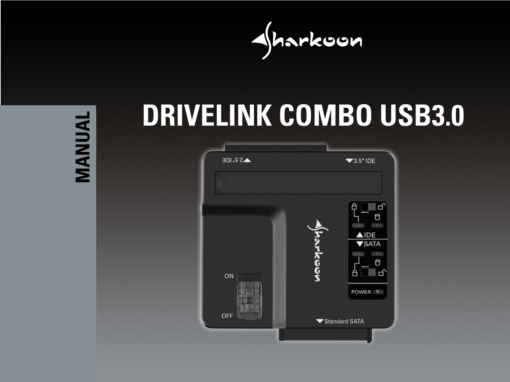

**MANUAL MANUAL**

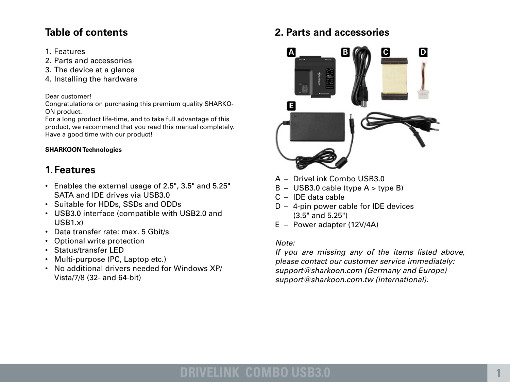## **Table of contents**

- 1. Features
- 2. Parts and accessories
- 3. The device at a glance
- 4. Installing the hardware

#### Dear customer!

Congratulations on purchasing this premium quality SHARKO-ON product.

For a long product life-time, and to take full advantage of this product, we recommend that you read this manual completely. Have a good time with our product!

#### **SHARKOON Technologies**

## **1.Features**

- • Enables the external usage of 2.5", 3.5" and 5.25" SATA and IDE drives via USB3.0
- • Suitable for HDDs, SSDs and ODDs
- • USB3.0 interface (compatible with USB2.0 and USB1.x)
- • Data transfer rate: max. 5 Gbit/s
- Optional write protection
- • Status/transfer LED
- Multi-purpose (PC, Laptop etc.)
- • No additional drivers needed for Windows XP/ Vista/7/8 (32- and 64-bit)

## **2. Parts and accessories**



- A DriveLink Combo USB3.0
- $B USB3.0$  cable (type  $A >$  type B)
- $C -$  IDE data cable
- $D 4$ -pin power cable for IDE devices (3.5" and 5.25")
- $E Power$  adapter (12V/4A)

## *Note:*

*If you are missing any of the items listed above, please contact our customer service immediately: support@sharkoon.com (Germany and Europe) support@sharkoon.com.tw (international).*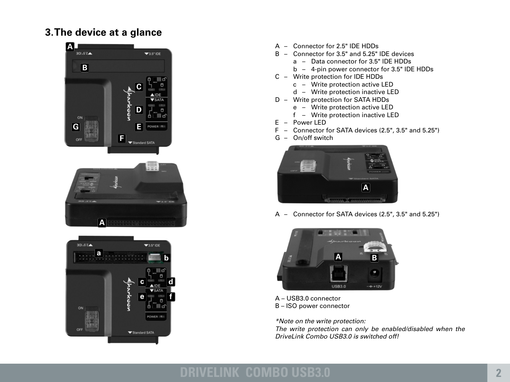## **3.The device at a glance**







- A Connector for 2.5" IDE HDDs
- $B -$  Connector for 3.5" and 5.25" IDE devices
	- a Data connector for 3.5" IDE HDDs
	- $b 4$ -pin power connector for 3.5" IDE HDDs
- C Write protection for IDE HDDs
	- c Write protection active LED
	- d Write protection inactive LED
- D Write protection for SATA HDDs
	- e Write protection active LED
	- f Write protection inactive LED
- $E Power LED$
- F Connector for SATA devices (2.5", 3.5" and 5.25")
- G On/off switch



A – Connector for SATA devices (2.5", 3.5" and 5.25")



A – USB3.0 connector B – ISO power connector

*\*Note on the write protection:*

*The write protection can only be enabled/disabled when the DriveLink Combo USB3.0 is switched off!*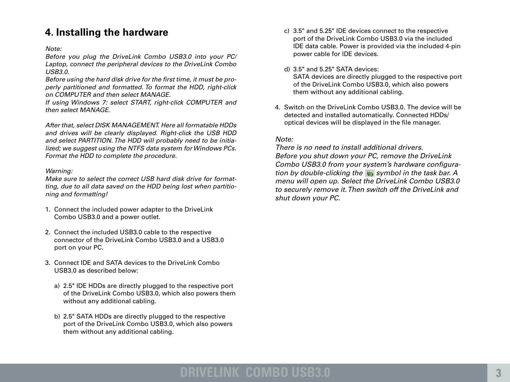## **4. Installing the hardware**

*Note:*

*Before you plug the DriveLink Combo USB3.0 into your PC/ Laptop, connect the peripheral devices to the DriveLink Combo USB3.0.* 

*Before using the hard disk drive for the first time, it must be properly partitioned and formatted. To format the HDD, right-click on COMPUTER and then select MANAGE.*

*If using Windows 7: select START, right-click COMPUTER and then select MANAGE.*

*After that, select DISK MANAGEMENT. Here all formatable HDDs and drives will be clearly displayed. Right-click the USB HDD and select PARTITION. The HDD will probably need to be initialized; we suggest using the NTFS data system for Windows PCs. Format the HDD to complete the procedure.*

#### *Warning:*

*Make sure to select the correct USB hard disk drive for formatting, due to all data saved on the HDD being lost when partitioning and formatting!*

- 1. Connect the included power adapter to the DriveLink Combo USB3.0 and a power outlet.
- 2. Connect the included USB3.0 cable to the respective connector of the DriveLink Combo USB3.0 and a USB3.0 port on your PC.
- 3. Connect IDE and SATA devices to the DriveLink Combo USB3.0 as described below:
	- a) 2.5" IDE HDDs are directly plugged to the respective port of the DriveLink Combo USB3.0, which also powers them without any additional cabling.
	- b) 2.5" SATA HDDs are directly plugged to the respective port of the DriveLink Combo USB3.0, which also powers them without any additional cabling.
- c) 3.5" and 5.25" IDE devices connect to the respective port of the DriveLink Combo USB3.0 via the included IDE data cable. Power is provided via the included 4-pin power cable for IDE devices.
- d) 3.5" and 5.25" SATA devices: SATA devices are directly plugged to the respective port of the DriveLink Combo USB3.0, which also powers them without any additional cabling.
- 4. Switch on the Drivel ink Combo USB3.0. The device will be detected and installed automatically. Connected HDDs/ optical devices will be displayed in the file manager.

#### *Note:*

*There is no need to install additional drivers. Before you shut down your PC, remove the DriveLink Combo USB3.0 from your system's hardware configuration by double-clicking the symbol in the task bar. A menu will open up. Select the DriveLink Combo USB3.0 to securely remove it. Then switch off the DriveLink and shut down your PC.*